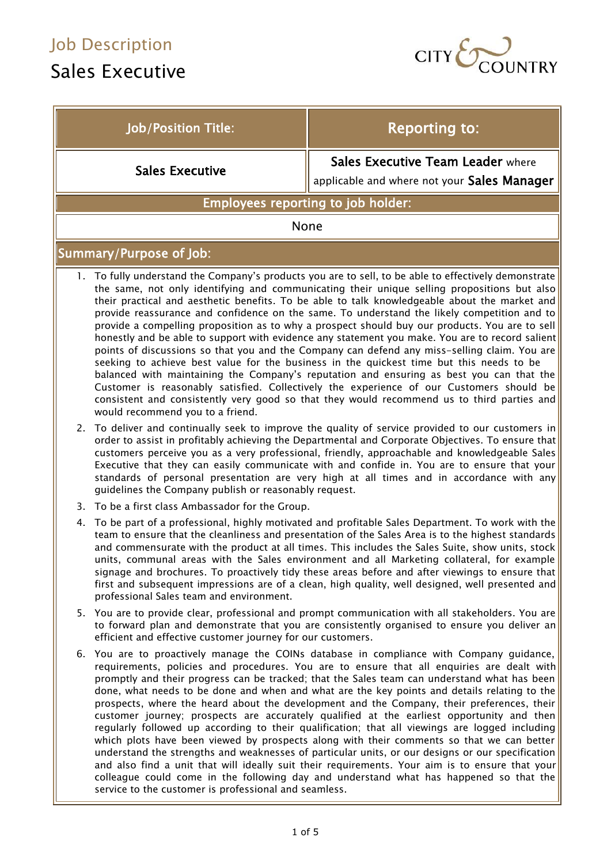$\overline{\phantom{a}}$ 

# Sales Executive



| <b>Job/Position Title:</b>                                                                                                                                                                                                                                                                                                                                                                                                                                                                                                                                                                                                                                                                                                                                                                                                                                                                                                                                                                                                                                                                                                                 | <b>Reporting to:</b>                                                                                                                                                                              |
|--------------------------------------------------------------------------------------------------------------------------------------------------------------------------------------------------------------------------------------------------------------------------------------------------------------------------------------------------------------------------------------------------------------------------------------------------------------------------------------------------------------------------------------------------------------------------------------------------------------------------------------------------------------------------------------------------------------------------------------------------------------------------------------------------------------------------------------------------------------------------------------------------------------------------------------------------------------------------------------------------------------------------------------------------------------------------------------------------------------------------------------------|---------------------------------------------------------------------------------------------------------------------------------------------------------------------------------------------------|
| <b>Sales Executive</b>                                                                                                                                                                                                                                                                                                                                                                                                                                                                                                                                                                                                                                                                                                                                                                                                                                                                                                                                                                                                                                                                                                                     | Sales Executive Team Leader where<br>applicable and where not your Sales Manager                                                                                                                  |
| Employees reporting to job holder:                                                                                                                                                                                                                                                                                                                                                                                                                                                                                                                                                                                                                                                                                                                                                                                                                                                                                                                                                                                                                                                                                                         |                                                                                                                                                                                                   |
| None                                                                                                                                                                                                                                                                                                                                                                                                                                                                                                                                                                                                                                                                                                                                                                                                                                                                                                                                                                                                                                                                                                                                       |                                                                                                                                                                                                   |
| <b>Summary/Purpose of Job:</b>                                                                                                                                                                                                                                                                                                                                                                                                                                                                                                                                                                                                                                                                                                                                                                                                                                                                                                                                                                                                                                                                                                             |                                                                                                                                                                                                   |
| 1. To fully understand the Company's products you are to sell, to be able to effectively demonstrate<br>the same, not only identifying and communicating their unique selling propositions but also<br>their practical and aesthetic benefits. To be able to talk knowledgeable about the market and<br>provide reassurance and confidence on the same. To understand the likely competition and to<br>provide a compelling proposition as to why a prospect should buy our products. You are to sell<br>honestly and be able to support with evidence any statement you make. You are to record salient<br>points of discussions so that you and the Company can defend any miss-selling claim. You are<br>seeking to achieve best value for the business in the quickest time but this needs to be<br>balanced with maintaining the Company's reputation and ensuring as best you can that the<br>Customer is reasonably satisfied. Collectively the experience of our Customers should be<br>consistent and consistently very good so that they would recommend us to third parties and<br>would recommend you to a friend.             |                                                                                                                                                                                                   |
| To deliver and continually seek to improve the quality of service provided to our customers in<br>2.<br>order to assist in profitably achieving the Departmental and Corporate Objectives. To ensure that<br>customers perceive you as a very professional, friendly, approachable and knowledgeable Sales<br>Executive that they can easily communicate with and confide in. You are to ensure that your<br>standards of personal presentation are very high at all times and in accordance with any<br>guidelines the Company publish or reasonably request.                                                                                                                                                                                                                                                                                                                                                                                                                                                                                                                                                                             |                                                                                                                                                                                                   |
| 3. To be a first class Ambassador for the Group.                                                                                                                                                                                                                                                                                                                                                                                                                                                                                                                                                                                                                                                                                                                                                                                                                                                                                                                                                                                                                                                                                           |                                                                                                                                                                                                   |
| To be part of a professional, highly motivated and profitable Sales Department. To work with the<br>4.<br>team to ensure that the cleanliness and presentation of the Sales Area is to the highest standards<br>and commensurate with the product at all times. This includes the Sales Suite, show units, stock<br>units, communal areas with the Sales environment and all Marketing collateral, for example<br>signage and brochures. To proactively tidy these areas before and after viewings to ensure that<br>first and subsequent impressions are of a clean, high quality, well designed, well presented and<br>professional Sales team and environment.                                                                                                                                                                                                                                                                                                                                                                                                                                                                          |                                                                                                                                                                                                   |
| efficient and effective customer journey for our customers.                                                                                                                                                                                                                                                                                                                                                                                                                                                                                                                                                                                                                                                                                                                                                                                                                                                                                                                                                                                                                                                                                | 5. You are to provide clear, professional and prompt communication with all stakeholders. You are<br>to forward plan and demonstrate that you are consistently organised to ensure you deliver an |
| 6. You are to proactively manage the COINs database in compliance with Company guidance,<br>requirements, policies and procedures. You are to ensure that all enquiries are dealt with<br>promptly and their progress can be tracked; that the Sales team can understand what has been<br>done, what needs to be done and when and what are the key points and details relating to the<br>prospects, where the heard about the development and the Company, their preferences, their<br>customer journey; prospects are accurately qualified at the earliest opportunity and then<br>regularly followed up according to their qualification; that all viewings are logged including<br>which plots have been viewed by prospects along with their comments so that we can better<br>understand the strengths and weaknesses of particular units, or our designs or our specification<br>and also find a unit that will ideally suit their requirements. Your aim is to ensure that your<br>colleague could come in the following day and understand what has happened so that the<br>service to the customer is professional and seamless. |                                                                                                                                                                                                   |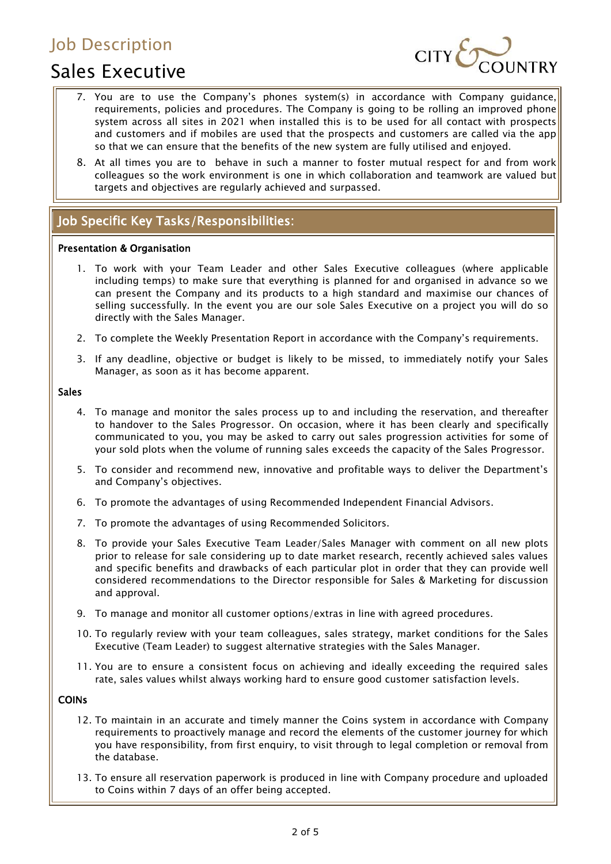# Sales Executive



- 7. You are to use the Company's phones system(s) in accordance with Company guidance, requirements, policies and procedures. The Company is going to be rolling an improved phone system across all sites in 2021 when installed this is to be used for all contact with prospects and customers and if mobiles are used that the prospects and customers are called via the app so that we can ensure that the benefits of the new system are fully utilised and enjoyed.
- 8. At all times you are to behave in such a manner to foster mutual respect for and from work colleagues so the work environment is one in which collaboration and teamwork are valued but targets and objectives are regularly achieved and surpassed.

## Job Specific Key Tasks/Responsibilities:

#### Presentation & Organisation

- 1. To work with your Team Leader and other Sales Executive colleagues (where applicable including temps) to make sure that everything is planned for and organised in advance so we can present the Company and its products to a high standard and maximise our chances of selling successfully. In the event you are our sole Sales Executive on a project you will do so directly with the Sales Manager.
- 2. To complete the Weekly Presentation Report in accordance with the Company's requirements.
- 3. If any deadline, objective or budget is likely to be missed, to immediately notify your Sales Manager, as soon as it has become apparent.

#### Sales

- 4. To manage and monitor the sales process up to and including the reservation, and thereafter to handover to the Sales Progressor. On occasion, where it has been clearly and specifically communicated to you, you may be asked to carry out sales progression activities for some of your sold plots when the volume of running sales exceeds the capacity of the Sales Progressor.
- 5. To consider and recommend new, innovative and profitable ways to deliver the Department's and Company's objectives.
- 6. To promote the advantages of using Recommended Independent Financial Advisors.
- 7. To promote the advantages of using Recommended Solicitors.
- 8. To provide your Sales Executive Team Leader/Sales Manager with comment on all new plots prior to release for sale considering up to date market research, recently achieved sales values and specific benefits and drawbacks of each particular plot in order that they can provide well considered recommendations to the Director responsible for Sales & Marketing for discussion and approval.
- 9. To manage and monitor all customer options/extras in line with agreed procedures.
- 10. To regularly review with your team colleagues, sales strategy, market conditions for the Sales Executive (Team Leader) to suggest alternative strategies with the Sales Manager.
- 11. You are to ensure a consistent focus on achieving and ideally exceeding the required sales rate, sales values whilst always working hard to ensure good customer satisfaction levels.

#### COINs

- 12. To maintain in an accurate and timely manner the Coins system in accordance with Company requirements to proactively manage and record the elements of the customer journey for which you have responsibility, from first enquiry, to visit through to legal completion or removal from the database.
- 13. To ensure all reservation paperwork is produced in line with Company procedure and uploaded to Coins within 7 days of an offer being accepted.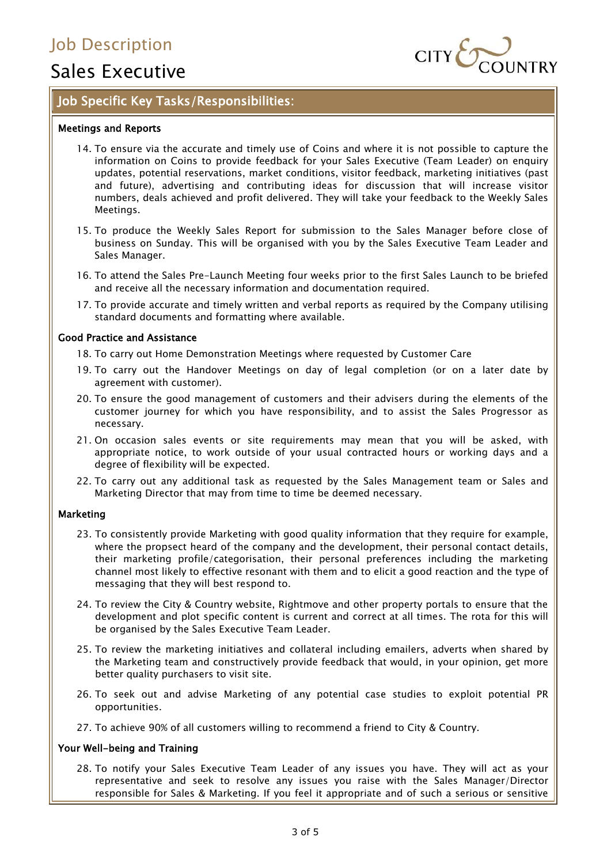# Sales Executive



## Job Specific Key Tasks/Responsibilities:

#### Meetings and Reports

- 14. To ensure via the accurate and timely use of Coins and where it is not possible to capture the information on Coins to provide feedback for your Sales Executive (Team Leader) on enquiry updates, potential reservations, market conditions, visitor feedback, marketing initiatives (past and future), advertising and contributing ideas for discussion that will increase visitor numbers, deals achieved and profit delivered. They will take your feedback to the Weekly Sales Meetings.
- 15. To produce the Weekly Sales Report for submission to the Sales Manager before close of business on Sunday. This will be organised with you by the Sales Executive Team Leader and Sales Manager.
- 16. To attend the Sales Pre-Launch Meeting four weeks prior to the first Sales Launch to be briefed and receive all the necessary information and documentation required.
- 17. To provide accurate and timely written and verbal reports as required by the Company utilising standard documents and formatting where available.

#### Good Practice and Assistance

18. To carry out Home Demonstration Meetings where requested by Customer Care

- 19. To carry out the Handover Meetings on day of legal completion (or on a later date by agreement with customer).
- 20. To ensure the good management of customers and their advisers during the elements of the customer journey for which you have responsibility, and to assist the Sales Progressor as necessary.
- 21. On occasion sales events or site requirements may mean that you will be asked, with appropriate notice, to work outside of your usual contracted hours or working days and a degree of flexibility will be expected.
- 22. To carry out any additional task as requested by the Sales Management team or Sales and Marketing Director that may from time to time be deemed necessary.

#### Marketing

- 23. To consistently provide Marketing with good quality information that they require for example, where the propsect heard of the company and the development, their personal contact details, their marketing profile/categorisation, their personal preferences including the marketing channel most likely to effective resonant with them and to elicit a good reaction and the type of messaging that they will best respond to.
- 24. To review the City & Country website, Rightmove and other property portals to ensure that the development and plot specific content is current and correct at all times. The rota for this will be organised by the Sales Executive Team Leader.
- 25. To review the marketing initiatives and collateral including emailers, adverts when shared by the Marketing team and constructively provide feedback that would, in your opinion, get more better quality purchasers to visit site.
- 26. To seek out and advise Marketing of any potential case studies to exploit potential PR opportunities.
- 27. To achieve 90% of all customers willing to recommend a friend to City & Country.

#### Your Well-being and Training

28. To notify your Sales Executive Team Leader of any issues you have. They will act as your representative and seek to resolve any issues you raise with the Sales Manager/Director responsible for Sales & Marketing. If you feel it appropriate and of such a serious or sensitive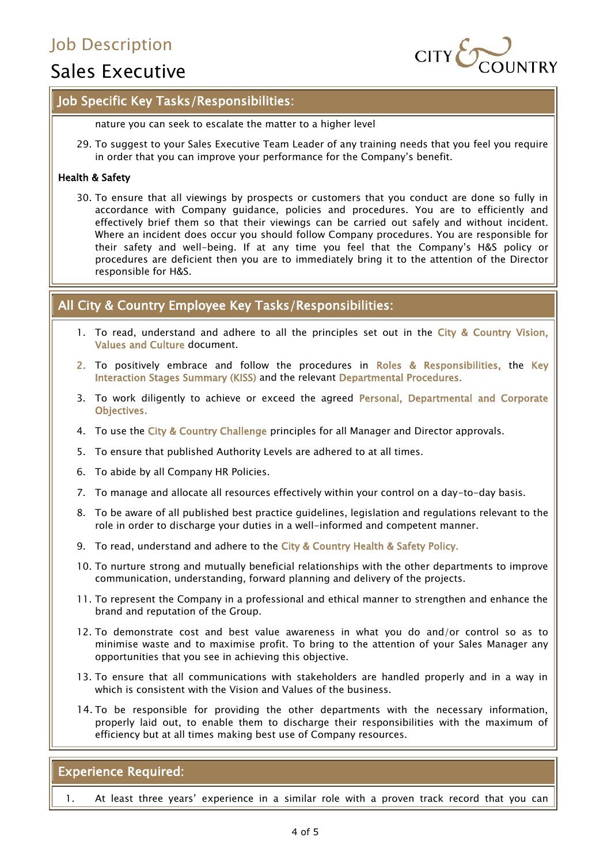# Sales Executive



### Job Specific Key Tasks/Responsibilities:

nature you can seek to escalate the matter to a higher level

29. To suggest to your Sales Executive Team Leader of any training needs that you feel you require in order that you can improve your performance for the Company's benefit.

#### Health & Safety

30. To ensure that all viewings by prospects or customers that you conduct are done so fully in accordance with Company guidance, policies and procedures. You are to efficiently and effectively brief them so that their viewings can be carried out safely and without incident. Where an incident does occur you should follow Company procedures. You are responsible for their safety and well-being. If at any time you feel that the Company's H&S policy or procedures are deficient then you are to immediately bring it to the attention of the Director responsible for H&S.

### All City & Country Employee Key Tasks/Responsibilities:

- 1. To read, understand and adhere to all the principles set out in the City & Country Vision, Values and Culture document.
- 2. To positively embrace and follow the procedures in Roles & Responsibilities, the Key Interaction Stages Summary (KISS) and the relevant Departmental Procedures.
- 3. To work diligently to achieve or exceed the agreed Personal, Departmental and Corporate Objectives.
- 4. To use the City & Country Challenge principles for all Manager and Director approvals.
- 5. To ensure that published Authority Levels are adhered to at all times.
- 6. To abide by all Company HR Policies.
- 7. To manage and allocate all resources effectively within your control on a day-to-day basis.
- 8. To be aware of all published best practice guidelines, legislation and regulations relevant to the role in order to discharge your duties in a well-informed and competent manner.
- 9. To read, understand and adhere to the City & Country Health & Safety Policy.
- 10. To nurture strong and mutually beneficial relationships with the other departments to improve communication, understanding, forward planning and delivery of the projects.
- 11. To represent the Company in a professional and ethical manner to strengthen and enhance the brand and reputation of the Group.
- 12. To demonstrate cost and best value awareness in what you do and/or control so as to minimise waste and to maximise profit. To bring to the attention of your Sales Manager any opportunities that you see in achieving this objective.
- 13. To ensure that all communications with stakeholders are handled properly and in a way in which is consistent with the Vision and Values of the business.
- 14. To be responsible for providing the other departments with the necessary information, properly laid out, to enable them to discharge their responsibilities with the maximum of efficiency but at all times making best use of Company resources.

### Experience Required:

1. At least three years' experience in a similar role with a proven track record that you can